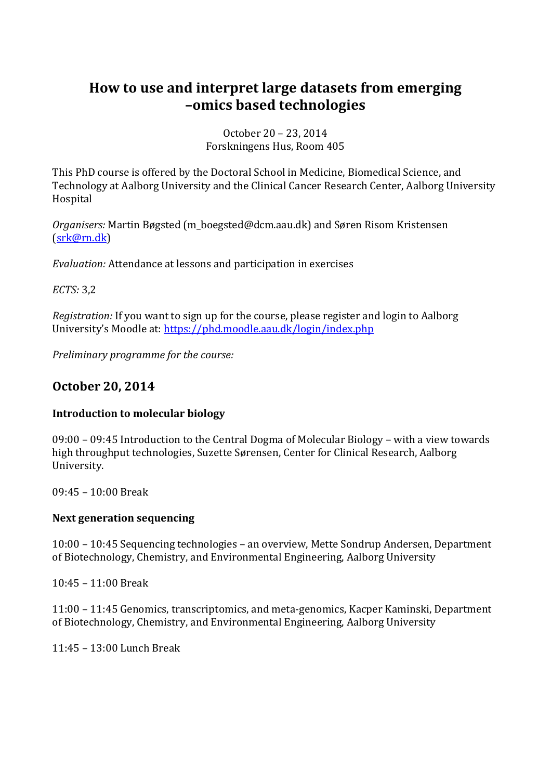# **How to use and interpret large datasets from emerging –omics based technologies**

October 20 – 23, 2014 Forskningens Hus, Room 405

This PhD course is offered by the Doctoral School in Medicine, Biomedical Science, and Technology at Aalborg University and the Clinical Cancer Research Center, Aalborg University Hospital

*Organisers:* Martin Bøgsted (m\_boegsted@dcm.aau.dk) and Søren Risom Kristensen [\(srk@rn.dk\)](mailto:srk@rn.dk)

*Evaluation:* Attendance at lessons and participation in exercises

*ECTS:* 3,2

*Registration:* If you want to sign up for the course, please register and login to Aalborg University's Moodle at: <https://phd.moodle.aau.dk/login/index.php>

*Preliminary programme for the course:*

# **October 20, 2014**

### **Introduction to molecular biology**

09:00 – 09:45 Introduction to the Central Dogma of Molecular Biology – with a view towards high throughput technologies, Suzette Sørensen, Center for Clinical Research, Aalborg University.

09:45 – 10:00 Break

#### **Next generation sequencing**

10:00 – 10:45 Sequencing technologies – an overview, Mette Sondrup Andersen, Department of Biotechnology, Chemistry, and Environmental Engineering, Aalborg University

10:45 – 11:00 Break

11:00 – 11:45 Genomics, transcriptomics, and meta-genomics, Kacper Kaminski, Department of Biotechnology, Chemistry, and Environmental Engineering, Aalborg University

11:45 – 13:00 Lunch Break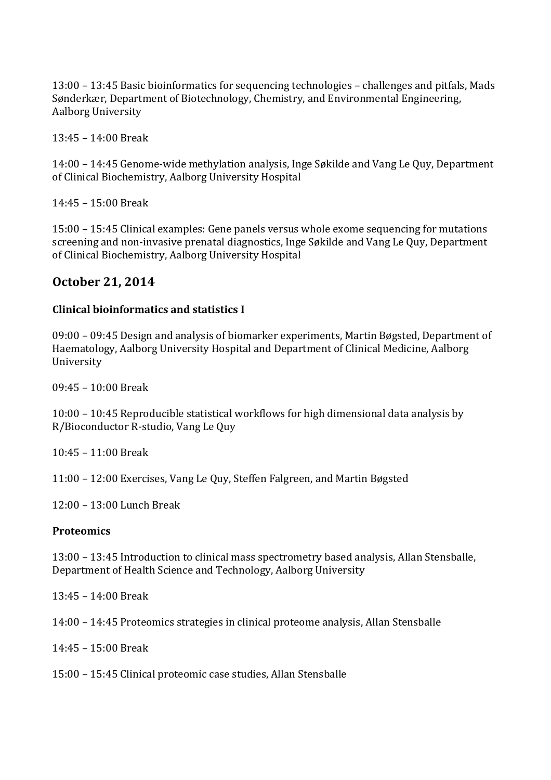13:00 – 13:45 Basic bioinformatics for sequencing technologies – challenges and pitfals, Mads Sønderkær, Department of Biotechnology, Chemistry, and Environmental Engineering, Aalborg University

13:45 – 14:00 Break

14:00 – 14:45 Genome-wide methylation analysis, Inge Søkilde and Vang Le Quy, Department of Clinical Biochemistry, Aalborg University Hospital

14:45 – 15:00 Break

15:00 – 15:45 Clinical examples: Gene panels versus whole exome sequencing for mutations screening and non-invasive prenatal diagnostics, Inge Søkilde and Vang Le Quy, Department of Clinical Biochemistry, Aalborg University Hospital

# **October 21, 2014**

### **Clinical bioinformatics and statistics I**

09:00 – 09:45 Design and analysis of biomarker experiments, Martin Bøgsted, Department of Haematology, Aalborg University Hospital and Department of Clinical Medicine, Aalborg University

09:45 – 10:00 Break

10:00 – 10:45 Reproducible statistical workflows for high dimensional data analysis by R/Bioconductor R-studio, Vang Le Quy

10:45 – 11:00 Break

11:00 – 12:00 Exercises, Vang Le Quy, Steffen Falgreen, and Martin Bøgsted

12:00 – 13:00 Lunch Break

### **Proteomics**

13:00 – 13:45 Introduction to clinical mass spectrometry based analysis, Allan Stensballe, Department of Health Science and Technology, Aalborg University

13:45 – 14:00 Break

14:00 – 14:45 Proteomics strategies in clinical proteome analysis, Allan Stensballe

14:45 – 15:00 Break

15:00 – 15:45 Clinical proteomic case studies, Allan Stensballe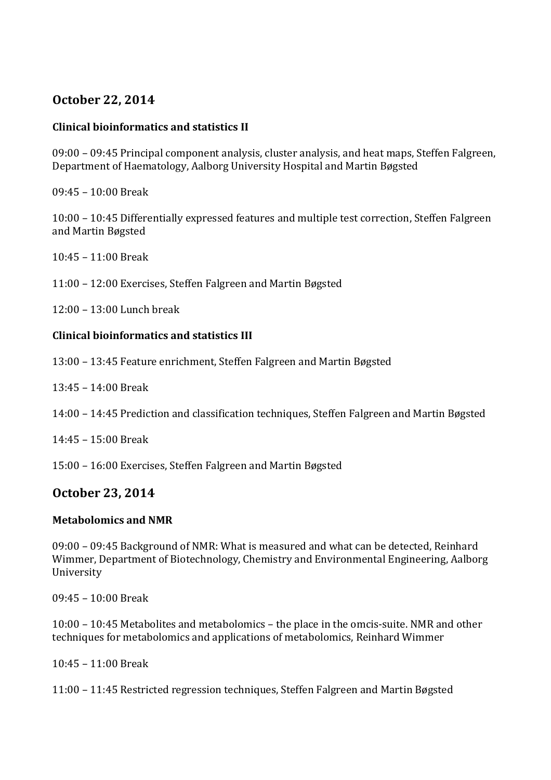# **October 22, 2014**

### **Clinical bioinformatics and statistics II**

09:00 – 09:45 Principal component analysis, cluster analysis, and heat maps, Steffen Falgreen, Department of Haematology, Aalborg University Hospital and Martin Bøgsted

09:45 – 10:00 Break

10:00 – 10:45 Differentially expressed features and multiple test correction, Steffen Falgreen and Martin Bøgsted

10:45 – 11:00 Break

11:00 – 12:00 Exercises, Steffen Falgreen and Martin Bøgsted

12:00 – 13:00 Lunch break

### **Clinical bioinformatics and statistics III**

- 13:00 13:45 Feature enrichment, Steffen Falgreen and Martin Bøgsted
- 13:45 14:00 Break
- 14:00 14:45 Prediction and classification techniques, Steffen Falgreen and Martin Bøgsted
- 14:45 15:00 Break

15:00 – 16:00 Exercises, Steffen Falgreen and Martin Bøgsted

# **October 23, 2014**

### **Metabolomics and NMR**

09:00 – 09:45 Background of NMR: What is measured and what can be detected, Reinhard Wimmer, Department of Biotechnology, Chemistry and Environmental Engineering, Aalborg University

09:45 – 10:00 Break

10:00 – 10:45 Metabolites and metabolomics – the place in the omcis-suite. NMR and other techniques for metabolomics and applications of metabolomics, Reinhard Wimmer

10:45 – 11:00 Break

11:00 – 11:45 Restricted regression techniques, Steffen Falgreen and Martin Bøgsted